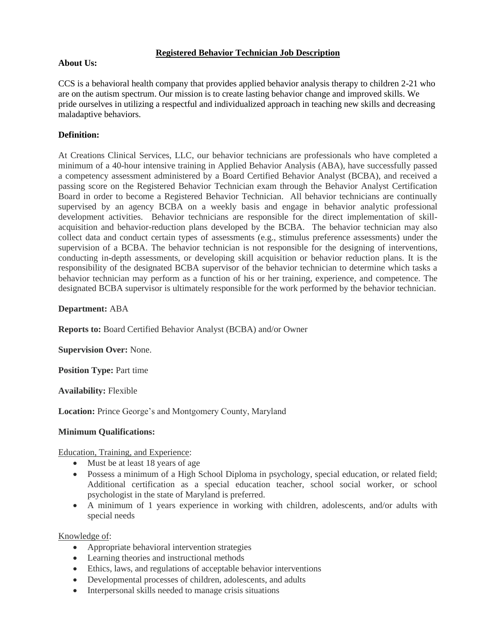## **Registered Behavior Technician Job Description**

#### **About Us:**

CCS is a behavioral health company that provides applied behavior analysis therapy to children 2-21 who are on the autism spectrum. Our mission is to create lasting behavior change and improved skills. We pride ourselves in utilizing a respectful and individualized approach in teaching new skills and decreasing maladaptive behaviors.

# **Definition:**

At Creations Clinical Services, LLC, our behavior technicians are professionals who have completed a minimum of a 40-hour intensive training in Applied Behavior Analysis (ABA), have successfully passed a competency assessment administered by a Board Certified Behavior Analyst (BCBA), and received a passing score on the Registered Behavior Technician exam through the Behavior Analyst Certification Board in order to become a Registered Behavior Technician. All behavior technicians are continually supervised by an agency BCBA on a weekly basis and engage in behavior analytic professional development activities. Behavior technicians are responsible for the direct implementation of skillacquisition and behavior-reduction plans developed by the BCBA. The behavior technician may also collect data and conduct certain types of assessments (e.g., stimulus preference assessments) under the supervision of a BCBA. The behavior technician is not responsible for the designing of interventions, conducting in-depth assessments, or developing skill acquisition or behavior reduction plans. It is the responsibility of the designated BCBA supervisor of the behavior technician to determine which tasks a behavior technician may perform as a function of his or her training, experience, and competence. The designated BCBA supervisor is ultimately responsible for the work performed by the behavior technician.

## **Department:** ABA

**Reports to:** Board Certified Behavior Analyst (BCBA) and/or Owner

**Supervision Over:** None.

**Position Type: Part time** 

**Availability:** Flexible

**Location:** Prince George's and Montgomery County, Maryland

#### **Minimum Qualifications:**

Education, Training, and Experience:

- Must be at least 18 years of age
- Possess a minimum of a High School Diploma in psychology, special education, or related field; Additional certification as a special education teacher, school social worker, or school psychologist in the state of Maryland is preferred.
- A minimum of 1 years experience in working with children, adolescents, and/or adults with special needs

Knowledge of:

- Appropriate behavioral intervention strategies
- Learning theories and instructional methods
- Ethics, laws, and regulations of acceptable behavior interventions
- Developmental processes of children, adolescents, and adults
- Interpersonal skills needed to manage crisis situations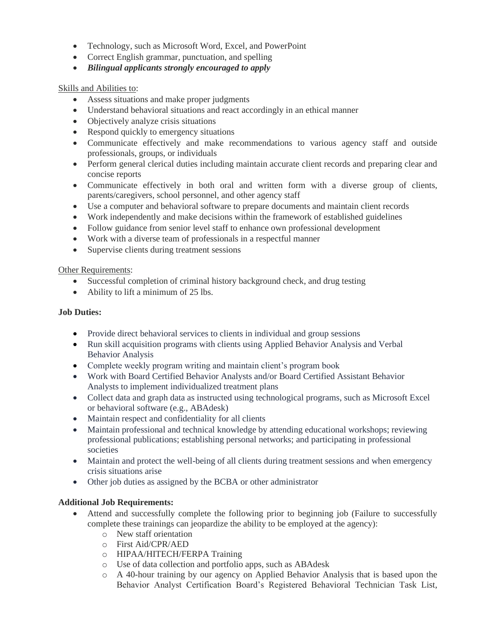- Technology, such as Microsoft Word, Excel, and PowerPoint
- Correct English grammar, punctuation, and spelling
- *Bilingual applicants strongly encouraged to apply*

## Skills and Abilities to:

- Assess situations and make proper judgments
- Understand behavioral situations and react accordingly in an ethical manner
- Objectively analyze crisis situations
- Respond quickly to emergency situations
- Communicate effectively and make recommendations to various agency staff and outside professionals, groups, or individuals
- Perform general clerical duties including maintain accurate client records and preparing clear and concise reports
- Communicate effectively in both oral and written form with a diverse group of clients, parents/caregivers, school personnel, and other agency staff
- Use a computer and behavioral software to prepare documents and maintain client records
- Work independently and make decisions within the framework of established guidelines
- Follow guidance from senior level staff to enhance own professional development
- Work with a diverse team of professionals in a respectful manner
- Supervise clients during treatment sessions

#### Other Requirements:

- Successful completion of criminal history background check, and drug testing
- Ability to lift a minimum of 25 lbs.

#### **Job Duties:**

- Provide direct behavioral services to clients in individual and group sessions
- Run skill acquisition programs with clients using Applied Behavior Analysis and Verbal Behavior Analysis
- Complete weekly program writing and maintain client's program book
- Work with Board Certified Behavior Analysts and/or Board Certified Assistant Behavior Analysts to implement individualized treatment plans
- Collect data and graph data as instructed using technological programs, such as Microsoft Excel or behavioral software (e.g., ABAdesk)
- Maintain respect and confidentiality for all clients
- Maintain professional and technical knowledge by attending educational workshops; reviewing professional publications; establishing personal networks; and participating in professional societies
- Maintain and protect the well-being of all clients during treatment sessions and when emergency crisis situations arise
- Other job duties as assigned by the BCBA or other administrator

## **Additional Job Requirements:**

- Attend and successfully complete the following prior to beginning job (Failure to successfully complete these trainings can jeopardize the ability to be employed at the agency):
	- o New staff orientation
	- o First Aid/CPR/AED
	- o HIPAA/HITECH/FERPA Training
	- o Use of data collection and portfolio apps, such as ABAdesk
	- o A 40-hour training by our agency on Applied Behavior Analysis that is based upon the Behavior Analyst Certification Board's Registered Behavioral Technician Task List,